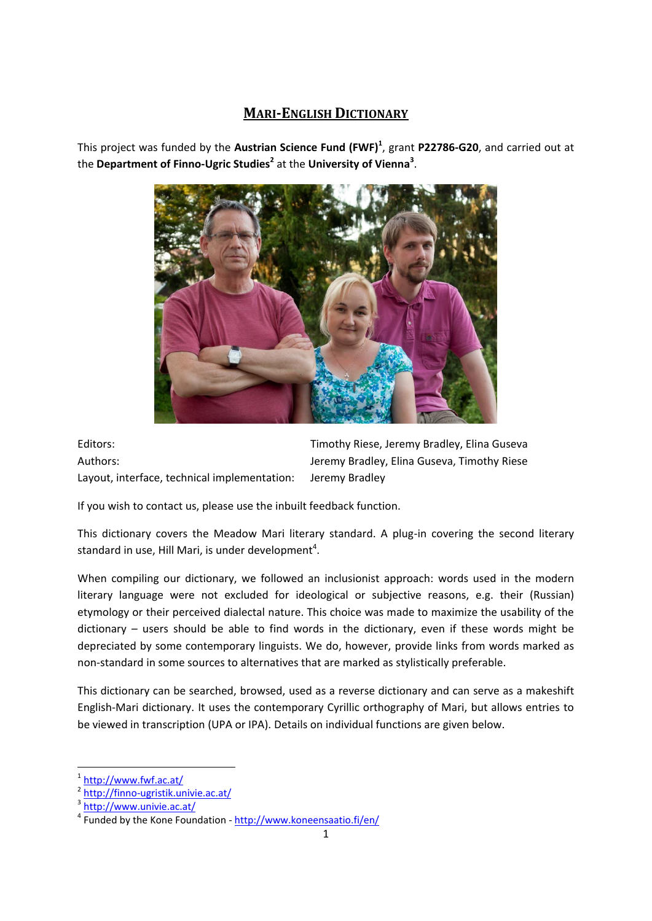# **MARI-ENGLISH DICTIONARY**

This project was funded by the **Austrian Science Fund (FWF)<sup>1</sup>** , grant **P22786-G20**, and carried out at the **Department of Finno-Ugric Studies<sup>2</sup>** at the **University of Vienna<sup>3</sup>** .



Editors: Timothy Riese, Jeremy Bradley, Elina Guseva Authors: Jeremy Bradley, Elina Guseva, Timothy Riese Layout, interface, technical implementation: Jeremy Bradley

If you wish to contact us, please use the inbuilt feedback function.

This dictionary covers the Meadow Mari literary standard. A plug-in covering the second literary standard in use, Hill Mari, is under development<sup>4</sup>.

When compiling our dictionary, we followed an inclusionist approach: words used in the modern literary language were not excluded for ideological or subjective reasons, e.g. their (Russian) etymology or their perceived dialectal nature. This choice was made to maximize the usability of the dictionary – users should be able to find words in the dictionary, even if these words might be depreciated by some contemporary linguists. We do, however, provide links from words marked as non-standard in some sources to alternatives that are marked as stylistically preferable.

This dictionary can be searched, browsed, used as a reverse dictionary and can serve as a makeshift English-Mari dictionary. It uses the contemporary Cyrillic orthography of Mari, but allows entries to be viewed in transcription (UPA or IPA). Details on individual functions are given below.

1

<sup>1</sup> <http://www.fwf.ac.at/>

<sup>2</sup> <http://finno-ugristik.univie.ac.at/>

<sup>&</sup>lt;sup>3</sup> <http://www.univie.ac.at/>

<sup>&</sup>lt;sup>4</sup> Funded by the Kone Foundation - <http://www.koneensaatio.fi/en/>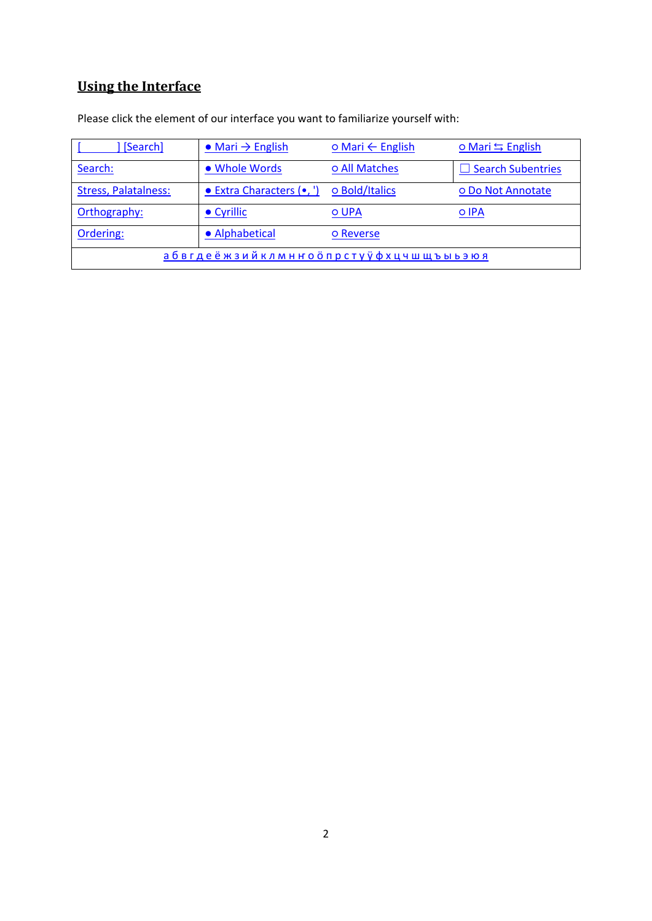# **Using the Interface**

| [Search]                                    | $\bullet$ Mari $\rightarrow$ English | $\circ$ Mari $\leftarrow$ English | $\circ$ Mari $\leq$ English |
|---------------------------------------------|--------------------------------------|-----------------------------------|-----------------------------|
| Search:                                     | • Whole Words                        | o All Matches                     | $\Box$ Search Subentries    |
| <b>Stress, Palatalness:</b>                 | • Extra Characters (•, ')            | o Bold/Italics                    | o Do Not Annotate           |
| Orthography:                                | • Cyrillic                           | O UPA                             | O IPA                       |
| Ordering:                                   | • Alphabetical                       | o Reverse                         |                             |
| <u>абвгдеёжзийклмнноöпрстуўфхцчшщъыьэюя</u> |                                      |                                   |                             |

Please click the element of our interface you want to familiarize yourself with: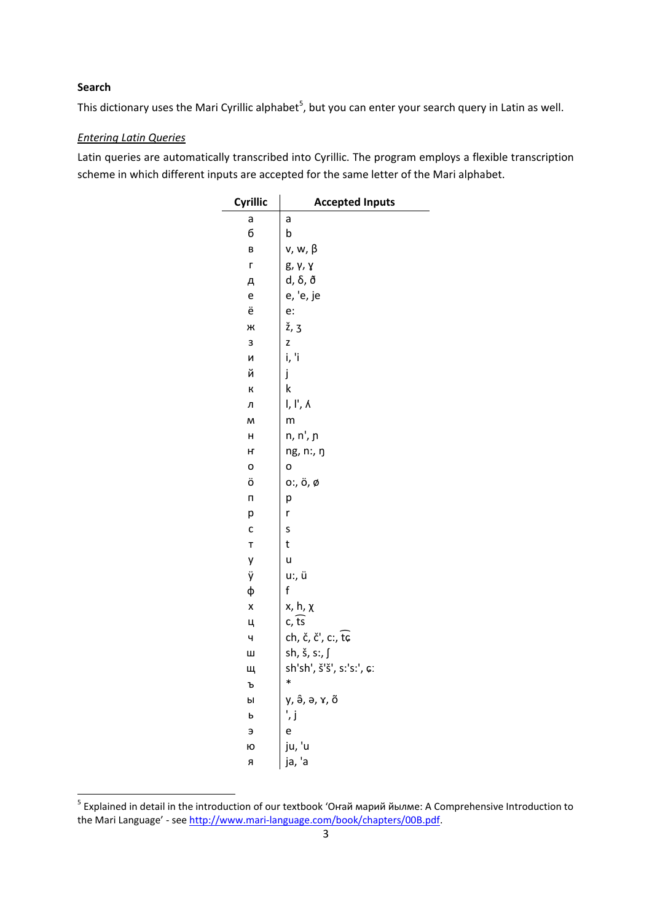### **Search**

This dictionary uses the Mari Cyrillic alphabet<sup>5</sup>, but you can enter your search query in Latin as well.

### <span id="page-2-0"></span>*Entering Latin Queries*

Latin queries are automatically transcribed into Cyrillic. The program employs a flexible transcription scheme in which different inputs are accepted for the same letter of the Mari alphabet.

| Cyrillic     | <b>Accepted Inputs</b>             |
|--------------|------------------------------------|
| a            | a                                  |
| б            | b                                  |
| B            | ν, w, β                            |
| Г            | g, y, y                            |
| д            | d, δ, δ                            |
| e            | e, 'e, je                          |
| ë            | e:                                 |
| ж            | ž, z                               |
| 3            | Z                                  |
| И            | i, 'i                              |
| й            | j                                  |
| К            | k                                  |
| л            | I, I', <i>K</i>                    |
| M            | m                                  |
| Н            | ո, ո', ր                           |
| H            | ng, n:, ŋ                          |
| о            | 0                                  |
| ö            | o:, ö, ø                           |
| П            | р                                  |
| р            | r                                  |
| $\mathsf{C}$ | S                                  |
| T            | t                                  |
| y            | u                                  |
| ÿ            | u:, ü                              |
| φ            | f                                  |
| X            | x, h, χ                            |
| ц            | c, ts                              |
| Ч            | ch, č, č', c:, t͡ç                 |
| Ш            | sh, š, s:, ∫                       |
| Щ            | sh'sh', š'š', s:'s:', c:<br>$\ast$ |
| ъ            |                                    |
| Ы            | y, â, ə, ɤ, õ                      |
| ь            | ', j                               |
| Э            | e                                  |
| ю            | ju, 'u                             |
| я            | ja, 'a                             |

 5 Explained in detail in the introduction of our textbook 'Оҥай марий йылме: A Comprehensive Introduction to the Mari Language' - see [http://www.mari-language.com/book/chapters/00B.pdf.](http://www.mari-language.com/book/chapters/00B.pdf)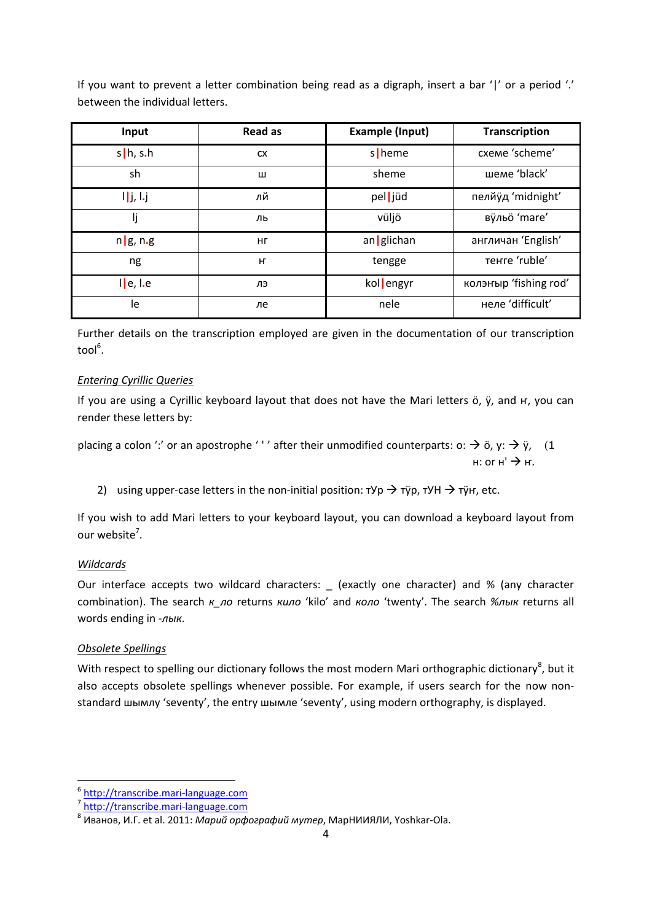If you want to prevent a letter combination being read as a digraph, insert a bar '|' or a period '.' between the individual letters.

| Input        | <b>Read as</b> | <b>Example (Input)</b> | <b>Transcription</b>  |
|--------------|----------------|------------------------|-----------------------|
| s h, s.h     | <b>CX</b>      | slheme                 | схеме 'scheme'        |
| sh           | ш              | sheme                  | шеме 'black'          |
| j, l, j      | лй             | pelljüd                | пелйўд 'midnight'     |
| IJ           | ль             | vüljö                  | вўльо 'mare'          |
| n/g, n.g     | HГ             | an   glichan           | англичан 'English'    |
| ng           | H              | tengge                 | тенге 'ruble'         |
| $I$   e, l.e | лэ             | kollengyr              | колэныр 'fishing rod' |
| le           | ле             | nele                   | неле 'difficult'      |

Further details on the transcription employed are given in the documentation of our transcription tool<sup>6</sup>.

### *Entering Cyrillic Queries*

If you are using a Cyrillic keyboard layout that does not have the Mari letters ӧ, ӱ, and ҥ, you can render these letters by:

placing a colon ':' or an apostrophe ' '' after their unmodified counterparts: o:  $\rightarrow$  ö, y:  $\rightarrow$  ÿ, (1) н: or н'  $\rightarrow$  н.

2) using upper-case letters in the non-initial position:  $\tau y$   $\rightarrow$   $\tau y$  $p$ ,  $\tau y$ H  $\rightarrow$   $\tau y$  $H$ , etc.

If you wish to add Mari letters to your keyboard layout, you can download a keyboard layout from our website<sup>7</sup>.

### *Wildcards*

**.** 

Our interface accepts two wildcard characters: \_ (exactly one character) and % (any character combination). The search *к\_ло* returns *кило* 'kilo' and *коло* 'twenty'. The search *%лык* returns all words ending in *-лык*.

### *Obsolete Spellings*

With respect to spelling our dictionary follows the most modern Mari orthographic dictionary<sup>8</sup>, but it also accepts obsolete spellings whenever possible. For example, if users search for the now nonstandard шымлу 'seventy', the entry шымле 'seventy', using modern orthography, is displayed.

<sup>6</sup> [http://transcribe.mari-language.com](http://transcribe.mari-language.com/)

<sup>&</sup>lt;sup>7</sup> [http://transcribe.mari-language.com](http://transcribe.mari-language.com/)

<sup>8</sup> Иванов, И.Г. et al. 2011: *Марий орфографий мутер*, МарНИИЯЛИ, Yoshkar-Ola.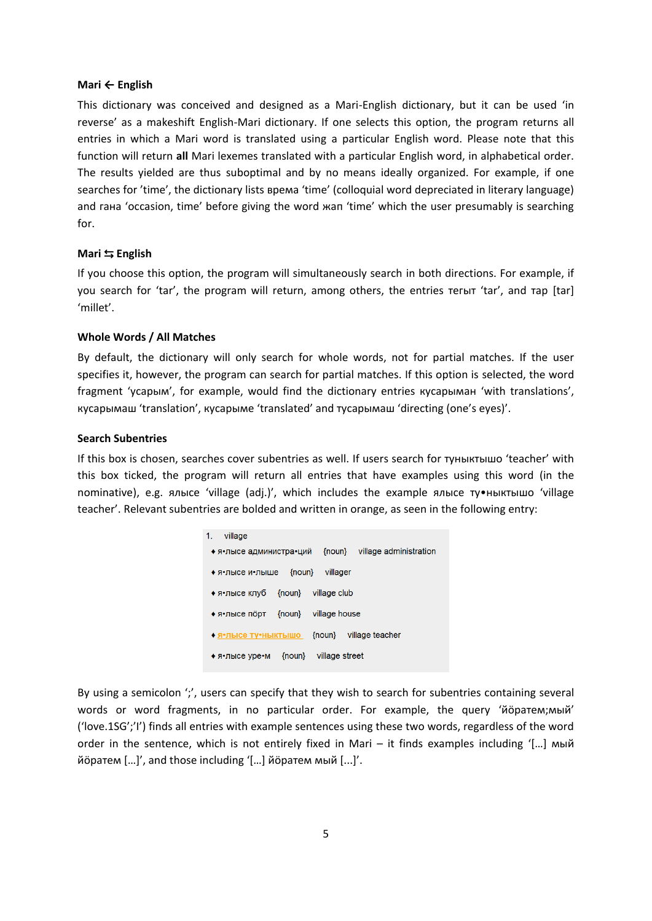#### <span id="page-4-0"></span>**Mari ← English**

This dictionary was conceived and designed as a Mari-English dictionary, but it can be used 'in reverse' as a makeshift English-Mari dictionary. If one selects this option, the program returns all entries in which a Mari word is translated using a particular English word. Please note that this function will return **all** Mari lexemes translated with a particular English word, in alphabetical order. The results yielded are thus suboptimal and by no means ideally organized. For example, if one searches for 'time', the dictionary lists врема 'time' (colloquial word depreciated in literary language) and гана 'occasion, time' before giving the word жап 'time' which the user presumably is searching for.

#### <span id="page-4-1"></span>**Mari** ⇆ **English**

If you choose this option, the program will simultaneously search in both directions. For example, if you search for 'tar', the program will return, among others, the entries тегыт 'tar', and тар [tar] 'millet'.

#### <span id="page-4-2"></span>**Whole Words / All Matches**

By default, the dictionary will only search for whole words, not for partial matches. If the user specifies it, however, the program can search for partial matches. If this option is selected, the word fragment 'усарым', for example, would find the dictionary entries кусарыман 'with translations', кусарымаш 'translation', кусарыме 'translated' and тусарымаш 'directing (one's eyes)'.

#### <span id="page-4-3"></span>**Search Subentries**

If this box is chosen, searches cover subentries as well. If users search for туныктышо 'teacher' with this box ticked, the program will return all entries that have examples using this word (in the nominative), e.g. ялысе 'village (adj.)', which includes the example ялысе ту•ныктышо 'village teacher'. Relevant subentries are bolded and written in orange, as seen in the following entry:

> 1. village • я•лысе администра•ций {noun} village administration • я•лысе и•лыше {noun} villager • я•лысе клуб {noun} village club village house • я•лысе порт {noun} • Я•лысе ту•ныктышо {noun} village teacher • я•лысе уре•м {noun} village street

<span id="page-4-4"></span>By using a semicolon ';', users can specify that they wish to search for subentries containing several words or word fragments, in no particular order. For example, the query 'йоратем;мый' ('love.1SG';'I') finds all entries with example sentences using these two words, regardless of the word order in the sentence, which is not entirely fixed in Mari – it finds examples including '[…] мый йӧратем […]', and those including '[…] йӧратем мый [...]'.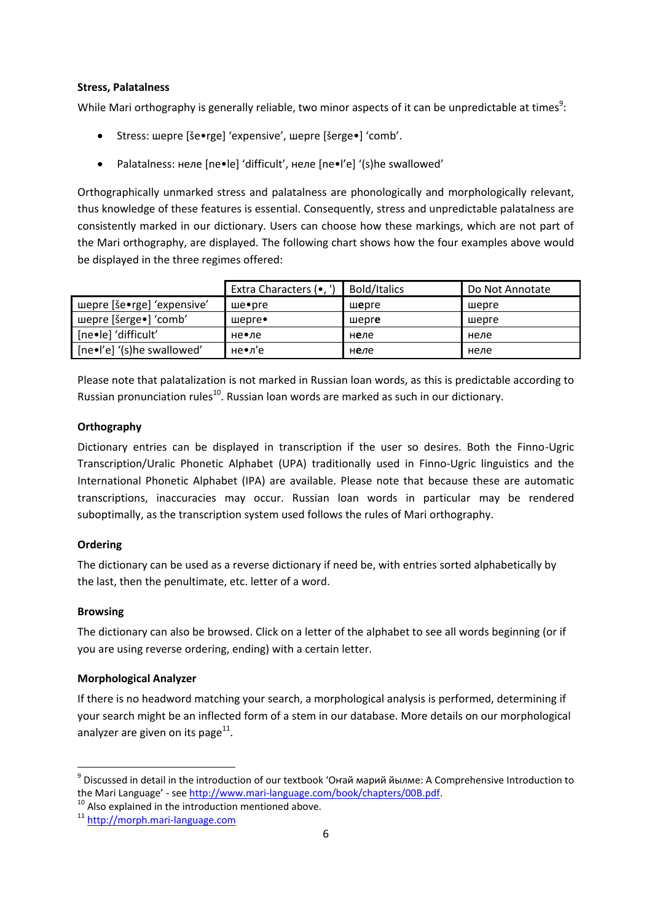### **Stress, Palatalness**

While Mari orthography is generally reliable, two minor aspects of it can be unpredictable at times $^9$ :

- Stress: шерге [še•rge] 'expensive', шерге [šerge•] 'comb'.
- Palatalness: неле [ne•le] 'difficult', неле [ne•l'e] '(s)he swallowed'

Orthographically unmarked stress and palatalness are phonologically and morphologically relevant, thus knowledge of these features is essential. Consequently, stress and unpredictable palatalness are consistently marked in our dictionary. Users can choose how these markings, which are not part of the Mari orthography, are displayed. The following chart shows how the four examples above would be displayed in the three regimes offered:

|                            | Extra Characters (•, | <b>Bold/Italics</b> | Do Not Annotate |
|----------------------------|----------------------|---------------------|-----------------|
| шерге [še•rge] 'expensive' | ше∙рге               | шерге               | шерге           |
| шерге [šerge•] 'comb'      | шерге•               | шерге               | шерге           |
| [ne•le] 'difficult'        | не•ле                | неле                | неле            |
| [ne•l'e] '(s)he swallowed' | не•л'е               | неле                | неле            |

Please note that palatalization is not marked in Russian loan words, as this is predictable according to Russian pronunciation rules<sup>10</sup>. Russian loan words are marked as such in our dictionary.

### <span id="page-5-0"></span>**Orthography**

Dictionary entries can be displayed in transcription if the user so desires. Both the Finno-Ugric Transcription/Uralic Phonetic Alphabet (UPA) traditionally used in Finno-Ugric linguistics and the International Phonetic Alphabet (IPA) are available. Please note that because these are automatic transcriptions, inaccuracies may occur. Russian loan words in particular may be rendered suboptimally, as the transcription system used follows the rules of Mari orthography.

### <span id="page-5-1"></span>**Ordering**

The dictionary can be used as a reverse dictionary if need be, with entries sorted alphabetically by the last, then the penultimate, etc. letter of a word.

### <span id="page-5-2"></span>**Browsing**

1

The dictionary can also be browsed. Click on a letter of the alphabet to see all words beginning (or if you are using reverse ordering, ending) with a certain letter.

### **Morphological Analyzer**

If there is no headword matching your search, a morphological analysis is performed, determining if your search might be an inflected form of a stem in our database. More details on our morphological analyzer are given on its page $^{11}$ .

<sup>&</sup>lt;sup>9</sup> Discussed in detail in the introduction of our textbook 'Онай марий йылме: A Comprehensive Introduction to the Mari Language' - see [http://www.mari-language.com/book/chapters/00B.pdf.](http://www.mari-language.com/book/chapters/00B.pdf)

 $10$  Also explained in the introduction mentioned above.

<sup>11</sup> [http://morph.mari-language.com](http://morph.mari-language.com/)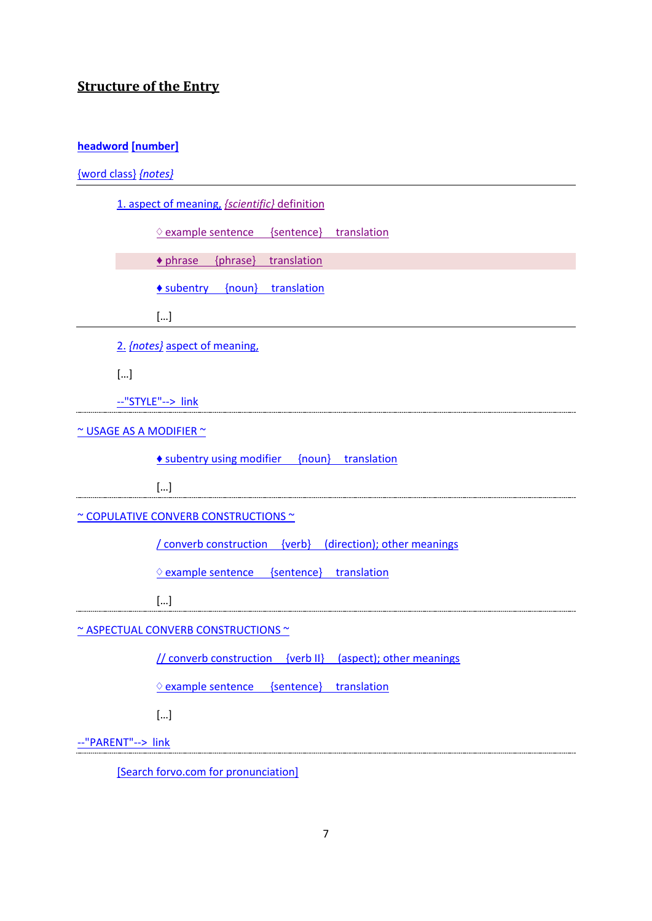# **Structure of the Entry**

### **[headword](#page-6-0) [\[number\]](#page-7-0)**

### [{word class}](#page-7-1) *[{notes}](#page-8-0)*

[1. aspect of meaning,](#page-8-1) *[{scientific}](#page-10-0)* definition

♢ [example sentence {sentence} translation](#page-10-1)

♦ [phrase {phrase} translation](#page-10-2)

♦ [subentry {noun} translation](#page-10-1)

[…]

[2.](#page-8-1) *[{notes}](#page-8-0)* [aspect of meaning,](#page-8-1)

[…]

[--"STYLE"--> link](#page-11-0)

 $\sim$  USAGE AS A MODIFIER  $\sim$ 

♦ [subentry using modifier {noun} translation](#page-10-3)

[…]

[~ COPULATIVE CONVERB CONSTRUCTIONS ~](#page-10-4)

[/ converb construction {verb} \(direction\); other meanings](#page-10-4)

♢ [example sentence {sentence} translation](#page-10-4)

[…]

[~ ASPECTUAL CONVERB CONSTRUCTIONS ~](#page-10-5)

[// converb construction {verb II} \(aspect\); other meanings](#page-10-5)

♢ [example sentence {sentence} translation](#page-10-5)

 $\lceil$ ...]

[--"PARENT"--> link](#page-11-0)

<span id="page-6-0"></span>[\[Search forvo.com for pronunciation\]](#page-11-1)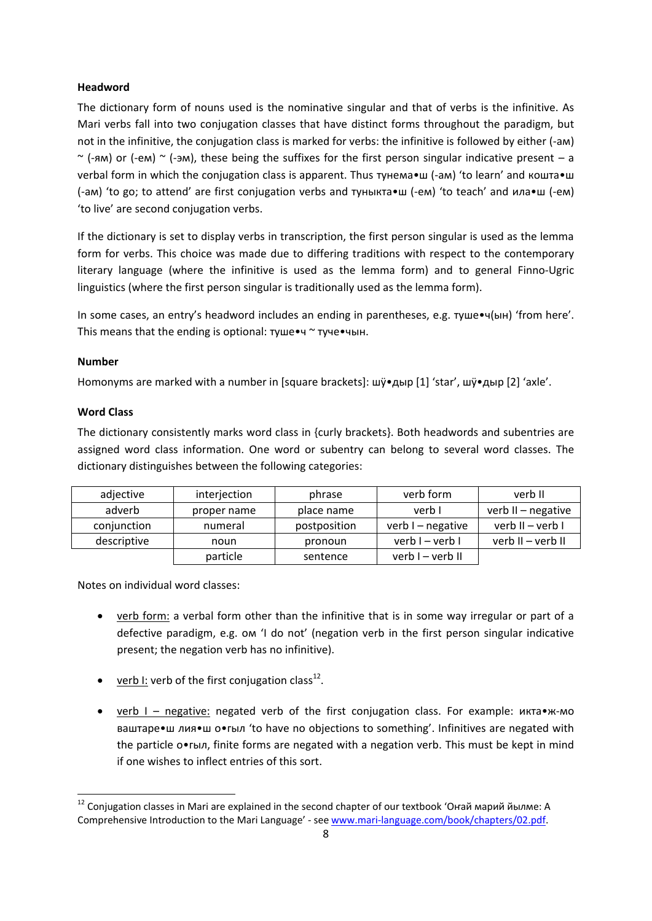### **Headword**

The dictionary form of nouns used is the nominative singular and that of verbs is the infinitive. As Mari verbs fall into two conjugation classes that have distinct forms throughout the paradigm, but not in the infinitive, the conjugation class is marked for verbs: the infinitive is followed by either (-ам)  $\sim$  (-ям) or (-ем)  $\sim$  (-эм), these being the suffixes for the first person singular indicative present – a verbal form in which the conjugation class is apparent. Thus тунема•ш (-ам) 'to learn' and кошта•ш (-ам) 'to go; to attend' are first conjugation verbs and туныкта•ш (-ем) 'to teach' and ила•ш (-ем) 'to live' are second conjugation verbs.

If the dictionary is set to display verbs in transcription, the first person singular is used as the lemma form for verbs. This choice was made due to differing traditions with respect to the contemporary literary language (where the infinitive is used as the lemma form) and to general Finno-Ugric linguistics (where the first person singular is traditionally used as the lemma form).

In some cases, an entry's headword includes an ending in parentheses, e.g. туше•ч(ын) 'from here'. This means that the ending is optional:  $\tau$ уше $\cdot$ ч $\sim$  туче $\cdot$ чын.

#### <span id="page-7-0"></span>**Number**

Homonyms are marked with a number in [square brackets]: шӱ•дыр [1] 'star', шӱ•дыр [2] 'axle'.

### <span id="page-7-1"></span>**Word Class**

1

The dictionary consistently marks word class in {curly brackets}. Both headwords and subentries are assigned word class information. One word or subentry can belong to several word classes. The dictionary distinguishes between the following categories:

| adjective   | interjection | phrase       | verb form           | verb II            |
|-------------|--------------|--------------|---------------------|--------------------|
| adverb      | proper name  | place name   | verb I              | verb II - negative |
| conjunction | numeral      | postposition | verb $I$ – negative | verb II – verb I   |
| descriptive | noun         | pronoun      | verb I – verb I     | verb II - verb II  |
|             | particle     | sentence     | verb I – verb II    |                    |

Notes on individual word classes:

- verb form: a verbal form other than the infinitive that is in some way irregular or part of a defective paradigm, e.g. ом 'I do not' (negation verb in the first person singular indicative present; the negation verb has no infinitive).
- verb I: verb of the first conjugation class<sup>12</sup>.
- verb I negative: negated verb of the first conjugation class. For example: икта•ж-мо ваштаре•ш лия•ш о•гыл 'to have no objections to something'. Infinitives are negated with the particle о•гыл, finite forms are negated with a negation verb. This must be kept in mind if one wishes to inflect entries of this sort.

 $12$  Conjugation classes in Mari are explained in the second chapter of our textbook 'Онай марий йылме: А Comprehensive Introduction to the Mari Language' - se[e www.mari-language.com/book/chapters/02.pdf.](http://www.mari-language.com/book/chapters/02.pdf)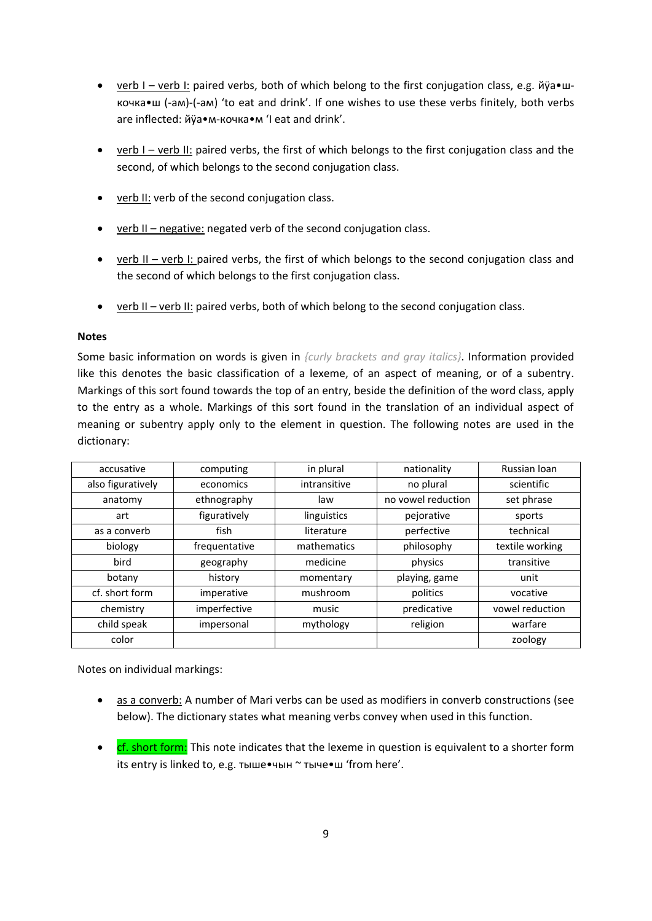- verb I verb I: paired verbs, both of which belong to the first conjugation class, e.g. йуа•шкочка•ш (-ам)-(-ам) 'to eat and drink'. If one wishes to use these verbs finitely, both verbs are inflected: йӱа•м-кочка•м 'I eat and drink'.
- verb I verb II: paired verbs, the first of which belongs to the first conjugation class and the second, of which belongs to the second conjugation class.
- verb II: verb of the second conjugation class.
- verb II negative: negated verb of the second conjugation class.
- verb II verb I: paired verbs, the first of which belongs to the second conjugation class and the second of which belongs to the first conjugation class.
- $\bullet$  verb II verb II: paired verbs, both of which belong to the second conjugation class.

#### <span id="page-8-0"></span>**Notes**

Some basic information on words is given in *{curly brackets and gray italics}*. Information provided like this denotes the basic classification of a lexeme, of an aspect of meaning, or of a subentry. Markings of this sort found towards the top of an entry, beside the definition of the word class, apply to the entry as a whole. Markings of this sort found in the translation of an individual aspect of meaning or subentry apply only to the element in question. The following notes are used in the dictionary:

| accusative        | computing     | in plural    | nationality        | Russian Ioan    |
|-------------------|---------------|--------------|--------------------|-----------------|
| also figuratively | economics     | intransitive | no plural          | scientific      |
| anatomy           | ethnography   | law          | no vowel reduction | set phrase      |
| art               | figuratively  | linguistics  | pejorative         | sports          |
| as a converb      | fish          | literature   | perfective         | technical       |
| biology           | frequentative | mathematics  | philosophy         | textile working |
| bird              | geography     | medicine     | physics            | transitive      |
| botany            | history       | momentary    | playing, game      | unit            |
| cf. short form    | imperative    | mushroom     | politics           | vocative        |
| chemistry         | imperfective  | music        | predicative        | vowel reduction |
| child speak       | impersonal    | mythology    | religion           | warfare         |
| color             |               |              |                    | zoology         |

<span id="page-8-1"></span>Notes on individual markings:

- as a converb: A number of Mari verbs can be used as modifiers in converb constructions (see below). The dictionary states what meaning verbs convey when used in this function.
- cf. short form: This note indicates that the lexeme in question is equivalent to a shorter form its entry is linked to, e.g. тыше•чын ~ тыче•ш 'from here'.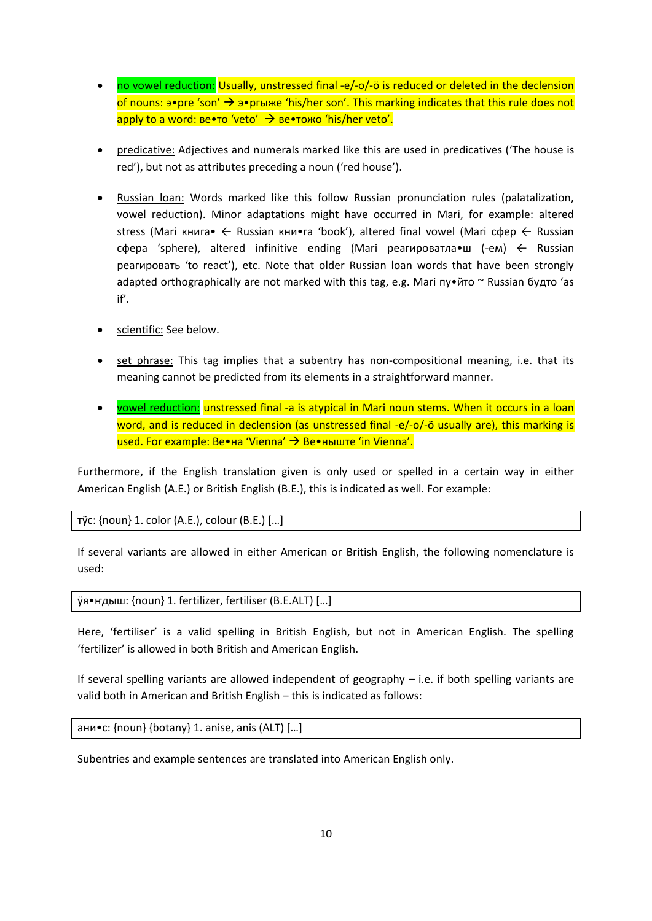- no vowel reduction: Usually, unstressed final -e/-o/-ö is reduced or deleted in the declension of nouns: э•рге 'son'  $\rightarrow$  э•ргыже 'his/her son'. This marking indicates that this rule does not apply to a word: ве•то 'veto'  $\rightarrow$  ве•тожо 'his/her veto'.
- predicative: Adjectives and numerals marked like this are used in predicatives ('The house is red'), but not as attributes preceding a noun ('red house').
- Russian loan: Words marked like this follow Russian pronunciation rules (palatalization, vowel reduction). Minor adaptations might have occurred in Mari, for example: altered stress (Mari книга• ← Russian кни•га 'book'), altered final vowel (Mari сфер ← Russian сфера 'sphere), altered infinitive ending (Mari реагироватла•ш (-ем) ← Russian реагировать 'to react'), etc. Note that older Russian loan words that have been strongly adapted orthographically are not marked with this tag, e.g. Mari  $n\cdot\hat{r}$  are avain 6 for  $\hat{r}$  as if'.
- scientific: See below.
- set phrase: This tag implies that a subentry has non-compositional meaning, i.e. that its meaning cannot be predicted from its elements in a straightforward manner.
- vowel reduction: unstressed final -a is atypical in Mari noun stems. When it occurs in a loan word, and is reduced in declension (as unstressed final -e/-o/-ö usually are), this marking is used. For example: Ве•на 'Vienna' > Ве•ныште 'in Vienna'.

Furthermore, if the English translation given is only used or spelled in a certain way in either American English (A.E.) or British English (B.E.), this is indicated as well. For example:

тӱс: {noun} 1. color (A.E.), colour (B.E.) […]

If several variants are allowed in either American or British English, the following nomenclature is used:

ӱя•ҥдыш: {noun} 1. fertilizer, fertiliser (B.E.ALT) […]

Here, 'fertiliser' is a valid spelling in British English, but not in American English. The spelling 'fertilizer' is allowed in both British and American English.

If several spelling variants are allowed independent of geography – i.e. if both spelling variants are valid both in American and British English – this is indicated as follows:

ани•с: {noun} {botany} 1. anise, anis (ALT) […]

Subentries and example sentences are translated into American English only.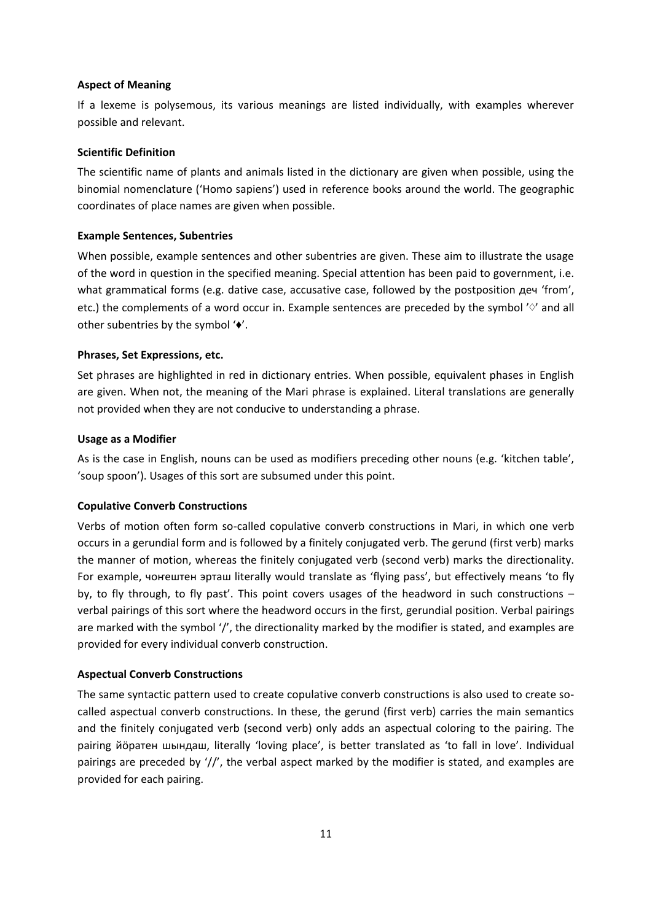#### **Aspect of Meaning**

If a lexeme is polysemous, its various meanings are listed individually, with examples wherever possible and relevant.

#### <span id="page-10-0"></span>**Scientific Definition**

The scientific name of plants and animals listed in the dictionary are given when possible, using the binomial nomenclature ('Homo sapiens') used in reference books around the world. The geographic coordinates of place names are given when possible.

#### <span id="page-10-1"></span>**Example Sentences, Subentries**

When possible, example sentences and other subentries are given. These aim to illustrate the usage of the word in question in the specified meaning. Special attention has been paid to government, i.e. what grammatical forms (e.g. dative case, accusative case, followed by the postposition деч 'from', etc.) the complements of a word occur in. Example sentences are preceded by the symbol '♡' and all other subentries by the symbol '♦'.

#### <span id="page-10-2"></span>**Phrases, Set Expressions, etc.**

Set phrases are highlighted in red in dictionary entries. When possible, equivalent phases in English are given. When not, the meaning of the Mari phrase is explained. Literal translations are generally not provided when they are not conducive to understanding a phrase.

#### <span id="page-10-3"></span>**Usage as a Modifier**

As is the case in English, nouns can be used as modifiers preceding other nouns (e.g. 'kitchen table', 'soup spoon'). Usages of this sort are subsumed under this point.

### <span id="page-10-4"></span>**Copulative Converb Constructions**

Verbs of motion often form so-called copulative converb constructions in Mari, in which one verb occurs in a gerundial form and is followed by a finitely conjugated verb. The gerund (first verb) marks the manner of motion, whereas the finitely conjugated verb (second verb) marks the directionality. For example, чонештен эрташ literally would translate as 'flying pass', but effectively means 'to fly by, to fly through, to fly past'. This point covers usages of the headword in such constructions – verbal pairings of this sort where the headword occurs in the first, gerundial position. Verbal pairings are marked with the symbol '/', the directionality marked by the modifier is stated, and examples are provided for every individual converb construction.

#### <span id="page-10-5"></span>**Aspectual Converb Constructions**

The same syntactic pattern used to create copulative converb constructions is also used to create socalled aspectual converb constructions. In these, the gerund (first verb) carries the main semantics and the finitely conjugated verb (second verb) only adds an aspectual coloring to the pairing. The pairing йӧратен шындаш, literally 'loving place', is better translated as 'to fall in love'. Individual pairings are preceded by '//', the verbal aspect marked by the modifier is stated, and examples are provided for each pairing.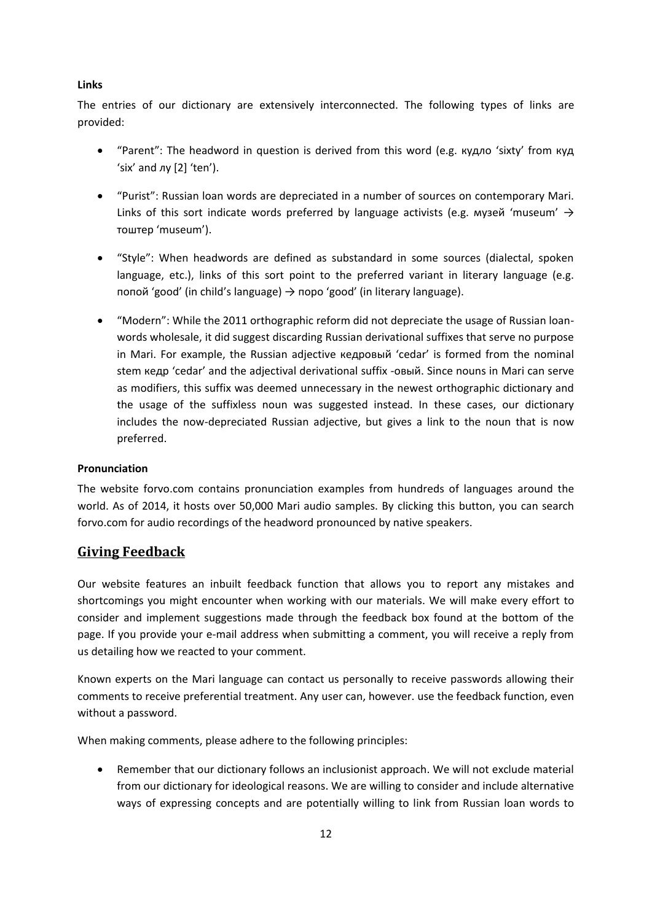### <span id="page-11-0"></span>**Links**

The entries of our dictionary are extensively interconnected. The following types of links are provided:

- "Parent": The headword in question is derived from this word (e.g. кудло 'sixty' from куд 'six' and лу [2] 'ten').
- "Purist": Russian loan words are depreciated in a number of sources on contemporary Mari. Links of this sort indicate words preferred by language activists (e.g. музей 'museum'  $\rightarrow$ тоштер 'museum').
- "Style": When headwords are defined as substandard in some sources (dialectal, spoken language, etc.), links of this sort point to the preferred variant in literary language (e.g. попой 'good' (in child's language)  $\rightarrow$  поро 'good' (in literary language).
- "Modern": While the 2011 orthographic reform did not depreciate the usage of Russian loanwords wholesale, it did suggest discarding Russian derivational suffixes that serve no purpose in Mari. For example, the Russian adjective кедровый 'cedar' is formed from the nominal stem кедр 'cedar' and the adjectival derivational suffix -овый. Since nouns in Mari can serve as modifiers, this suffix was deemed unnecessary in the newest orthographic dictionary and the usage of the suffixless noun was suggested instead. In these cases, our dictionary includes the now-depreciated Russian adjective, but gives a link to the noun that is now preferred.

### <span id="page-11-1"></span>**Pronunciation**

The website forvo.com contains pronunciation examples from hundreds of languages around the world. As of 2014, it hosts over 50,000 Mari audio samples. By clicking this button, you can search forvo.com for audio recordings of the headword pronounced by native speakers.

# **Giving Feedback**

Our website features an inbuilt feedback function that allows you to report any mistakes and shortcomings you might encounter when working with our materials. We will make every effort to consider and implement suggestions made through the feedback box found at the bottom of the page. If you provide your e-mail address when submitting a comment, you will receive a reply from us detailing how we reacted to your comment.

Known experts on the Mari language can contact us personally to receive passwords allowing their comments to receive preferential treatment. Any user can, however. use the feedback function, even without a password.

When making comments, please adhere to the following principles:

 Remember that our dictionary follows an inclusionist approach. We will not exclude material from our dictionary for ideological reasons. We are willing to consider and include alternative ways of expressing concepts and are potentially willing to link from Russian loan words to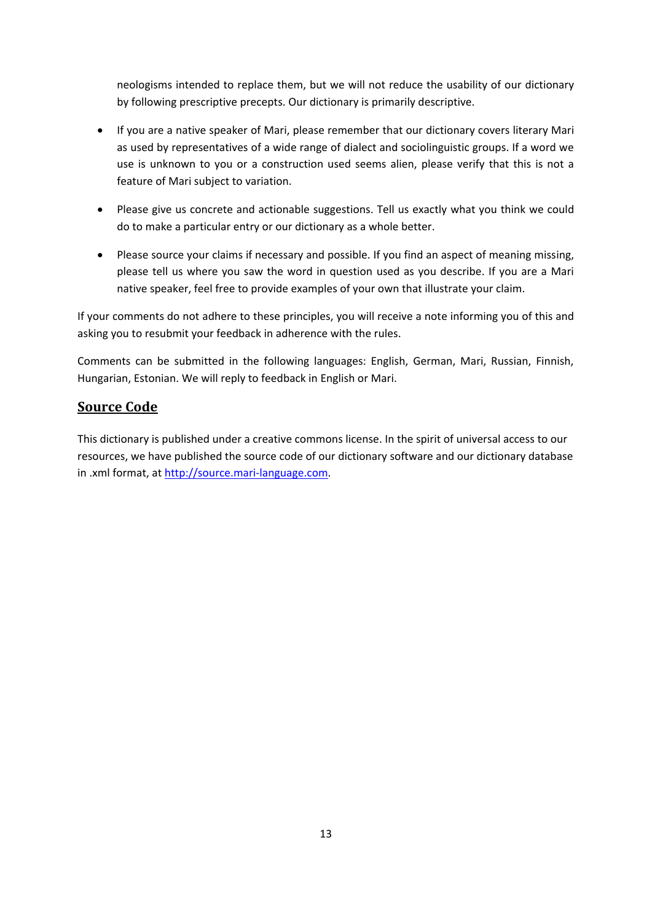neologisms intended to replace them, but we will not reduce the usability of our dictionary by following prescriptive precepts. Our dictionary is primarily descriptive.

- If you are a native speaker of Mari, please remember that our dictionary covers literary Mari as used by representatives of a wide range of dialect and sociolinguistic groups. If a word we use is unknown to you or a construction used seems alien, please verify that this is not a feature of Mari subject to variation.
- Please give us concrete and actionable suggestions. Tell us exactly what you think we could do to make a particular entry or our dictionary as a whole better.
- Please source your claims if necessary and possible. If you find an aspect of meaning missing, please tell us where you saw the word in question used as you describe. If you are a Mari native speaker, feel free to provide examples of your own that illustrate your claim.

If your comments do not adhere to these principles, you will receive a note informing you of this and asking you to resubmit your feedback in adherence with the rules.

Comments can be submitted in the following languages: English, German, Mari, Russian, Finnish, Hungarian, Estonian. We will reply to feedback in English or Mari.

# **Source Code**

This dictionary is published under a creative commons license. In the spirit of universal access to our resources, we have published the source code of our dictionary software and our dictionary database in .xml format, at [http://source.mari-language.com.](http://source.mari-language.com/)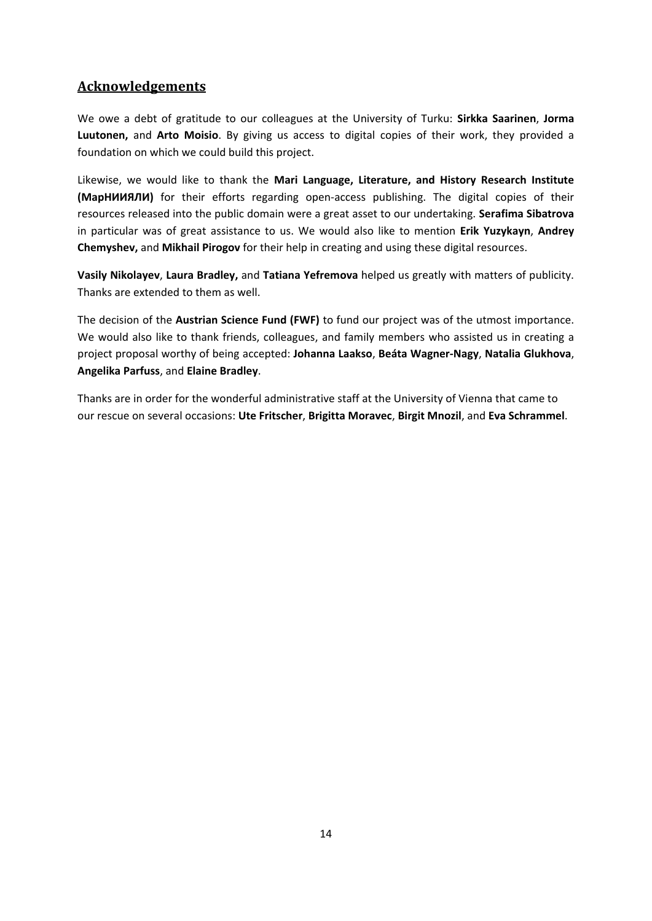# **Acknowledgements**

We owe a debt of gratitude to our colleagues at the University of Turku: **Sirkka Saarinen**, **Jorma Luutonen,** and **Arto Moisio**. By giving us access to digital copies of their work, they provided a foundation on which we could build this project.

Likewise, we would like to thank the **Mari Language, Literature, and History Research Institute (МарНИИЯЛИ)** for their efforts regarding open-access publishing. The digital copies of their resources released into the public domain were a great asset to our undertaking. **Serafima Sibatrova** in particular was of great assistance to us. We would also like to mention **Erik Yuzykayn**, **Andrey Chemyshev,** and **Mikhail Pirogov** for their help in creating and using these digital resources.

**Vasily Nikolayev**, **Laura Bradley,** and **Tatiana Yefremova** helped us greatly with matters of publicity. Thanks are extended to them as well.

The decision of the **Austrian Science Fund (FWF)** to fund our project was of the utmost importance. We would also like to thank friends, colleagues, and family members who assisted us in creating a project proposal worthy of being accepted: **Johanna Laakso**, **Beáta Wagner-Nagy**, **Natalia Glukhova**, **Angelika Parfuss**, and **Elaine Bradley**.

Thanks are in order for the wonderful administrative staff at the University of Vienna that came to our rescue on several occasions: **Ute Fritscher**, **Brigitta Moravec**, **Birgit Mnozil**, and **Eva Schrammel**.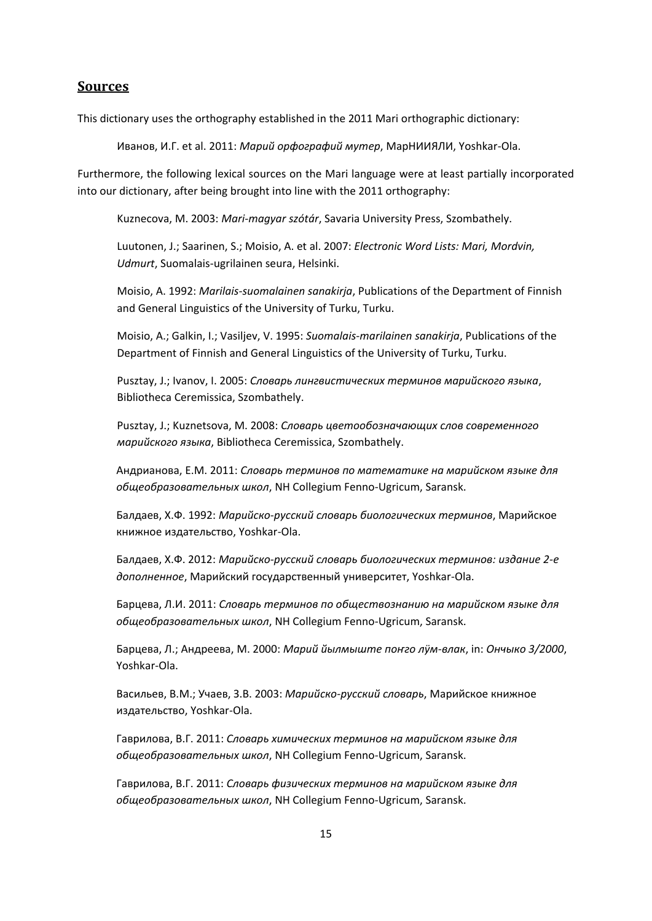### **Sources**

This dictionary uses the orthography established in the 2011 Mari orthographic dictionary:

Иванов, И.Г. et al. 2011: *Марий орфографий мутер*, МарНИИЯЛИ, Yoshkar-Ola.

Furthermore, the following lexical sources on the Mari language were at least partially incorporated into our dictionary, after being brought into line with the 2011 orthography:

Kuznecova, M. 2003: *Mari-magyar szótár*, Savaria University Press, Szombathely.

Luutonen, J.; Saarinen, S.; Moisio, A. et al. 2007: *Electronic Word Lists: Mari, Mordvin, Udmurt*, Suomalais-ugrilainen seura, Helsinki.

Moisio, A. 1992: *Marilais-suomalainen sanakirja*, Publications of the Department of Finnish and General Linguistics of the University of Turku, Turku.

Moisio, A.; Galkin, I.; Vasiljev, V. 1995: *Suomalais-marilainen sanakirja*, Publications of the Department of Finnish and General Linguistics of the University of Turku, Turku.

Pusztay, J.; Ivanov, I. 2005: *Словарь лингвистических терминов марийского языка*, Bibliotheca Ceremissica, Szombathely.

Pusztay, J.; Kuznetsova, M. 2008: *Словарь цветообозначающих слов современного марийского языка*, Bibliotheca Ceremissica, Szombathely.

Андрианова, Е.М. 2011: *Словарь терминов по математике на марийском языке для общеобразовательных школ*, NH Collegium Fenno-Ugricum, Saransk.

Балдаев, Х.Ф. 1992: *Марийско-русский словарь биологических терминов*, Марийское книжное издательство, Yoshkar-Ola.

Балдаев, Х.Ф. 2012: *Марийско-русский словарь биологических терминов: издание 2-е дополненное*, Марийский государственный университет, Yoshkar-Ola.

Барцева, Л.И. 2011: *Словарь терминов по обществознанию на марийском языке для общеобразовательных школ*, NH Collegium Fenno-Ugricum, Saransk.

Барцева, Л.; Андреева, М. 2000: *Марий йылмыште поҥго лӱм-влак*, in: *Ончыко 3/2000*, Yoshkar-Ola.

Васильев, В.М.; Учаев, З.В. 2003: *Марийско-русский словарь*, Марийское книжное издательство, Yoshkar-Ola.

Гаврилова, В.Г. 2011: *Словарь химических терминов на марийском языке для общеобразовательных школ*, NH Collegium Fenno-Ugricum, Saransk.

Гаврилова, В.Г. 2011: *Словарь физических терминов на марийском языке для общеобразовательных школ*, NH Collegium Fenno-Ugricum, Saransk.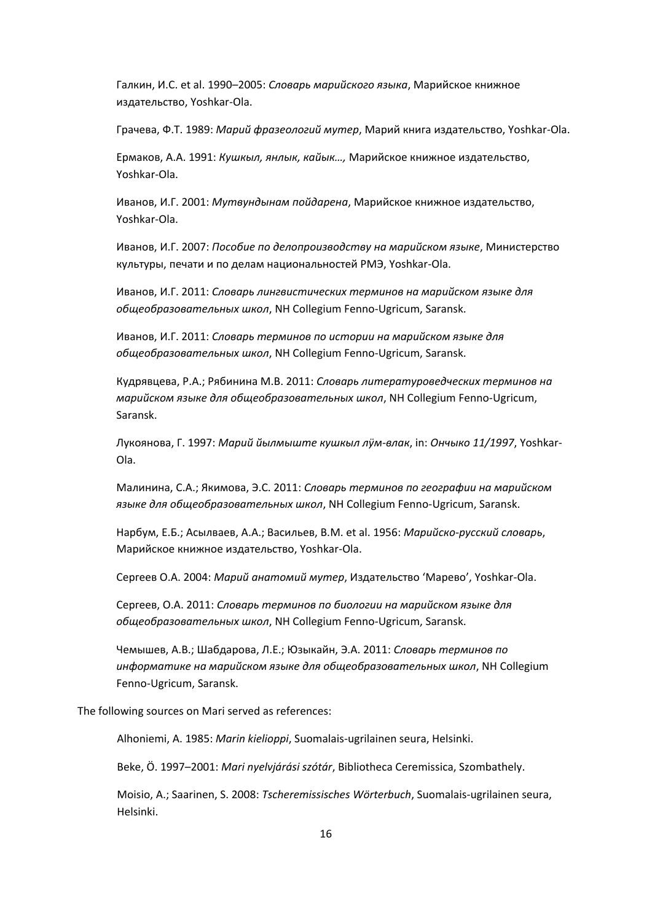Галкин, И.С. et al. 1990–2005: *Словарь марийского языка*, Марийское книжное издательство, Yoshkar-Ola.

Грачева, Ф.Т. 1989: *Марий фразеологий мутер*, Марий книга издательство, Yoshkar-Ola.

Ермаков, А.А. 1991: *Кушкыл, янлык, кайык…,* Марийское книжное издательство, Yoshkar-Ola.

Иванов, И.Г. 2001: *Мутвундынам пойдарена*, Марийское книжное издательство, Yoshkar-Ola.

Иванов, И.Г. 2007: *Пособие по делопроизводству на марийском языке*, Министерство культуры, печати и по делам национальностей РМЭ, Yoshkar-Ola.

Иванов, И.Г. 2011: *Словарь лингвистических терминов на марийском языке для общеобразовательных школ*, NH Collegium Fenno-Ugricum, Saransk.

Иванов, И.Г. 2011: *Словарь терминов по истории на марийском языке для общеобразовательных школ*, NH Collegium Fenno-Ugricum, Saransk.

Кудрявцева, Р.А.; Рябинина М.В. 2011: *Словарь литературоведческих терминов на марийском языке для общеобразовательных школ*, NH Collegium Fenno-Ugricum, Saransk.

Лукоянова, Г. 1997: *Марий йылмыште кушкыл лӱм-влак*, in: *Ончыко 11/1997*, Yoshkar-Ola.

Малинина, С.А.; Якимова, Э.С. 2011: *Словарь терминов по географии на марийском языке для общеобразовательных школ*, NH Collegium Fenno-Ugricum, Saransk.

Нарбум, Е.Б.; Асылваев, А.А.; Васильев, В.М. et al. 1956: *Марийско-русский словарь*, Марийское книжное издательство, Yoshkar-Ola.

Сергеев О.А. 2004: *Марий анатомий мутер*, Издательство 'Марево', Yoshkar-Ola.

Сергеев, О.А. 2011: *Словарь терминов по биологии на марийском языке для общеобразовательных школ*, NH Collegium Fenno-Ugricum, Saransk.

Чемышев, А.В.; Шабдарова, Л.Е.; Юзыкайн, Э.А. 2011: *Словарь терминов по информатике на марийском языке для общеобразовательных школ*, NH Collegium Fenno-Ugricum, Saransk.

The following sources on Mari served as references:

Alhoniemi, A. 1985: *Marin kielioppi*, Suomalais-ugrilainen seura, Helsinki.

Beke, Ö. 1997–2001: *Mari nyelvjárási szótár*, Bibliotheca Ceremissica, Szombathely.

Moisio, A.; Saarinen, S. 2008: *Tscheremissisches Wörterbuch*, Suomalais-ugrilainen seura, Helsinki.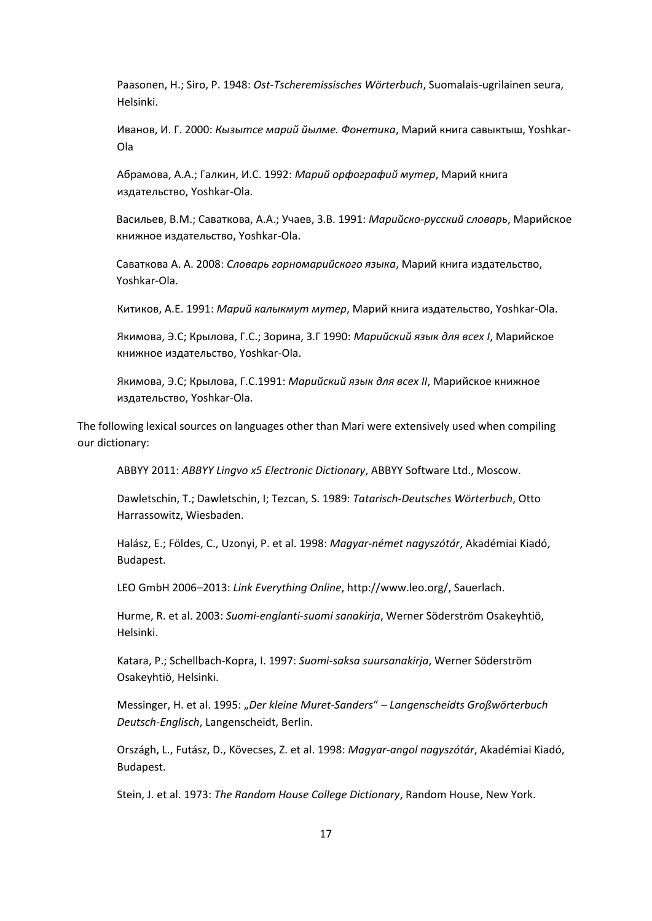Paasonen, H.; Siro, P. 1948: *Ost-Tscheremissisches Wörterbuch*, Suomalais-ugrilainen seura, Helsinki.

Иванов, И. Г. 2000: *Кызытсе марий йылме. Фонетика*, Марий книга савыктыш, Yoshkar-Ola

Абрамова, А.А.; Галкин, И.С. 1992: *Марий орфографий мутер*, Марий книга издательство, Yoshkar-Ola.

Васильев, В.М.; Саваткова, А.А.; Учаев, З.В. 1991: *Марийско-русский словарь*, Марийское книжное издательство, Yoshkar-Ola.

Саваткова А. А. 2008: *Словарь горномарийского языка*, Марий книга издательство, Yoshkar-Ola.

Китиков, А.Е. 1991: *Марий калыкмут мутер*, Марий книга издательство, Yoshkar-Ola.

Якимова, Э.С; Крылова, Г.С.; Зорина, З.Г 1990: *Марийский язык для всех I*, Марийское книжное издательство, Yoshkar-Ola.

Якимова, Э.С; Крылова, Г.С.1991: *Марийский язык для всех II*, Марийское книжное издательство, Yoshkar-Ola.

The following lexical sources on languages other than Mari were extensively used when compiling our dictionary:

ABBYY 2011: *ABBYY Lingvo x5 Electronic Dictionary*, ABBYY Software Ltd., Moscow.

Dawletschin, T.; Dawletschin, I; Tezcan, S. 1989: *Tatarisch-Deutsches Wörterbuch*, Otto Harrassowitz, Wiesbaden.

Halász, E.; Földes, C., Uzonyi, P. et al. 1998: *Magyar-német nagyszótár*, Akadémiai Kiadó, Budapest.

LEO GmbH 2006–2013: *Link Everything Online*, http://www.leo.org/, Sauerlach.

Hurme, R. et al. 2003: *Suomi-englanti-suomi sanakirja*, Werner Söderström Osakeyhtiö, Helsinki.

Katara, P.; Schellbach-Kopra, I. 1997: *Suomi-saksa suursanakirja*, Werner Söderström Osakeyhtiö, Helsinki.

Messinger, H. et al. 1995: "*Der kleine Muret-Sanders*" *– Langenscheidts Großwörterbuch Deutsch-Englisch*, Langenscheidt, Berlin.

Országh, L., Futász, D., Kövecses, Z. et al. 1998: *Magyar-angol nagyszótár*, Akadémiai Kiadó, Budapest.

Stein, J. et al. 1973: *The Random House College Dictionary*, Random House, New York.